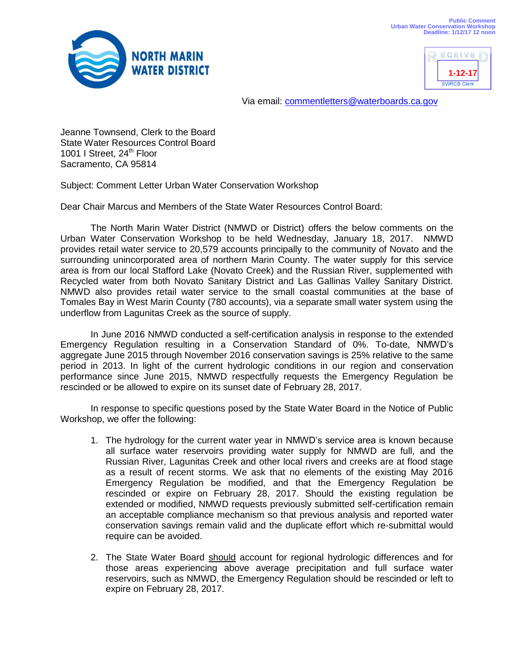



Via email: [commentletters@waterboards.ca.gov](mailto:commentletters@waterboards.ca.gov)

Jeanne Townsend, Clerk to the Board State Water Resources Control Board 1001 I Street,  $24<sup>th</sup>$  Floor Sacramento, CA 95814

Subject: Comment Letter Urban Water Conservation Workshop

Dear Chair Marcus and Members of the State Water Resources Control Board:

The North Marin Water District (NMWD or District) offers the below comments on the Urban Water Conservation Workshop to be held Wednesday, January 18, 2017. NMWD provides retail water service to 20,579 accounts principally to the community of Novato and the surrounding unincorporated area of northern Marin County. The water supply for this service area is from our local Stafford Lake (Novato Creek) and the Russian River, supplemented with Recycled water from both Novato Sanitary District and Las Gallinas Valley Sanitary District. NMWD also provides retail water service to the small coastal communities at the base of Tomales Bay in West Marin County (780 accounts), via a separate small water system using the underflow from Lagunitas Creek as the source of supply.

In June 2016 NMWD conducted a self-certification analysis in response to the extended Emergency Regulation resulting in a Conservation Standard of 0%. To-date, NMWD's aggregate June 2015 through November 2016 conservation savings is 25% relative to the same period in 2013. In light of the current hydrologic conditions in our region and conservation performance since June 2015, NMWD respectfully requests the Emergency Regulation be rescinded or be allowed to expire on its sunset date of February 28, 2017.

In response to specific questions posed by the State Water Board in the Notice of Public Workshop, we offer the following:

- 1. The hydrology for the current water year in NMWD's service area is known because all surface water reservoirs providing water supply for NMWD are full, and the Russian River, Lagunitas Creek and other local rivers and creeks are at flood stage as a result of recent storms. We ask that no elements of the existing May 2016 Emergency Regulation be modified, and that the Emergency Regulation be rescinded or expire on February 28, 2017. Should the existing regulation be extended or modified, NMWD requests previously submitted self-certification remain an acceptable compliance mechanism so that previous analysis and reported water conservation savings remain valid and the duplicate effort which re-submittal would require can be avoided.
- 2. The State Water Board should account for regional hydrologic differences and for those areas experiencing above average precipitation and full surface water reservoirs, such as NMWD, the Emergency Regulation should be rescinded or left to expire on February 28, 2017.